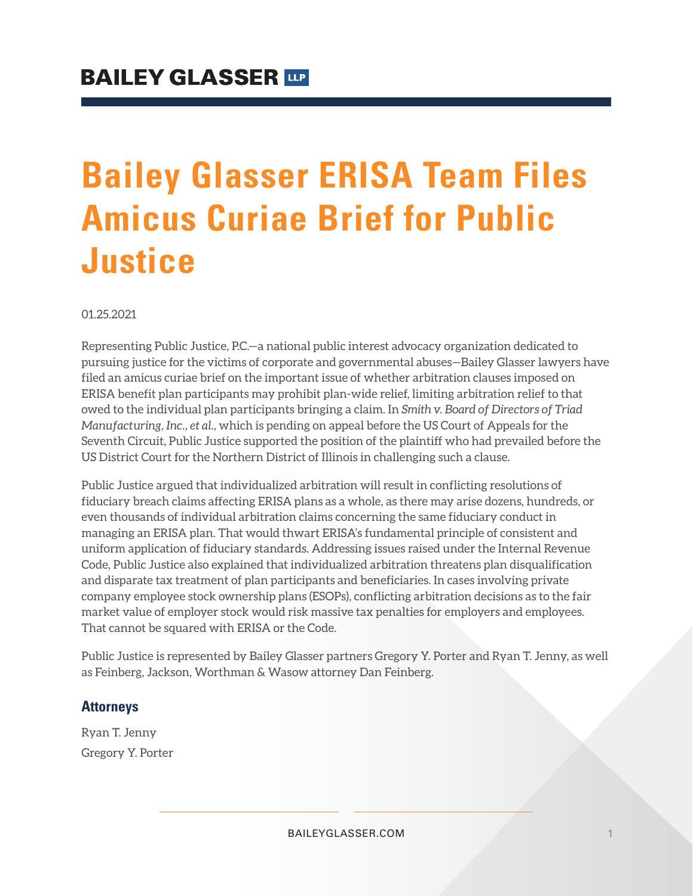## **Bailey Glasser ERISA Team Files Amicus Curiae Brief for Public Justice**

01.25.2021

Representing Public Justice, P.C.—a national public interest advocacy organization dedicated to pursuing justice for the victims of corporate and governmental abuses—Bailey Glasser lawyers have filed an amicus curiae brief on the important issue of whether arbitration clauses imposed on ERISA benefit plan participants may prohibit plan-wide relief, limiting arbitration relief to that owed to the individual plan participants bringing a claim. In *Smith v. Board of Directors of Triad Manufacturing, Inc., et al.*, which is pending on appeal before the US Court of Appeals for the Seventh Circuit, Public Justice supported the position of the plaintiff who had prevailed before the US District Court for the Northern District of Illinois in challenging such a clause.

Public Justice argued that individualized arbitration will result in conflicting resolutions of fiduciary breach claims affecting ERISA plans as a whole, as there may arise dozens, hundreds, or even thousands of individual arbitration claims concerning the same fiduciary conduct in managing an ERISA plan. That would thwart ERISA's fundamental principle of consistent and uniform application of fiduciary standards. Addressing issues raised under the Internal Revenue Code, Public Justice also explained that individualized arbitration threatens plan disqualification and disparate tax treatment of plan participants and beneficiaries. In cases involving private company employee stock ownership plans (ESOPs), conflicting arbitration decisions as to the fair market value of employer stock would risk massive tax penalties for employers and employees. That cannot be squared with ERISA or the Code.

Public Justice is represented by Bailey Glasser partners Gregory Y. Porter and Ryan T. Jenny, as well as Feinberg, Jackson, Worthman & Wasow attorney Dan Feinberg.

## **Attorneys**

Ryan T. Jenny Gregory Y. Porter